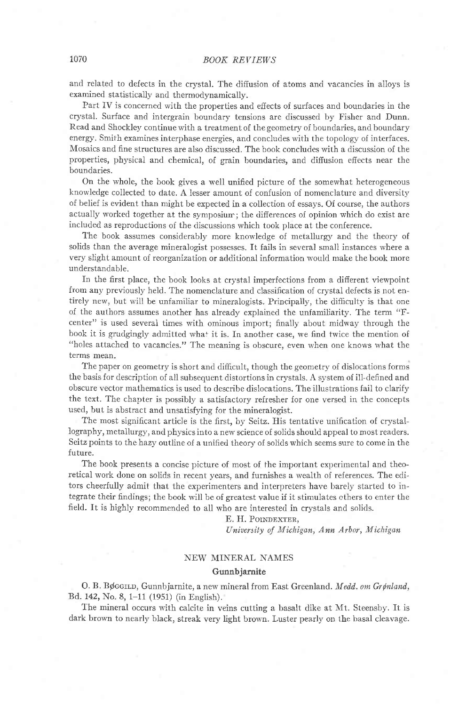and related to defects in the crystal. The diffusion of atoms and vacancies in alloys is examined statistically and thermodynamically.

Part IV is concerned with the properties and effects of surfaces and boundaries in the crystal. Surface and intergrain boundary tensions are discussed by Fisher and Dunn. Read and Shockley continue with a treatment of the geometry of boundaries, and boundary energy. Smith examines interphase energies, and concludes with the topology of interfaces. Mosaics and fine structures are also discussed. The book concludes with a discussion of the properties, physical and chemical, of grain boundaries, and diffusion effects near the boundaries.

On the whole, the book gives a well unified picture of the somewhat heterogeneous knowledge collected to date. A lesser amount of confusion of nomenclature and diversity of belief is evident than might be expected in a collection of essays. Of course, the authors actually worked together at the symposiurr; the differences of opinion which do exist are included as reproduetions of the discussions which took place at the conference.

The book assumes considerably more knowledge of metallurgy and the theory of solids than the average mineralogist possesses. It fails in several small instances where a very slight amount of reorganization or additional information would make the book more understandable.

In the first place, the book looks at crystal imperfections from a difierent viewpoint from any previously held. The nomenclature and classification of crystal defects is not entirely new, but will be unfamiliar to mineralogists. Principally, the difficulty is that one of the authors assumes another has already explained the unfamiliarity. The term "Fcenter" is used several times with ominous import; finally about midway through the book it is grudgingly admitted what it is. In another case, we find twice the mention of "holes attached to vacancies." The meaning is obscure, even when one knows what the terms mean.

The paper on geometry is short and difficult, though the geometry of dislocations forms the basis for description of all subsequent distortions in crystals. A system of ill-defined and obscure vector mathematics is used to describe dislocations. The illustrations fail to clarify the text. The chapter is possibly a satisfactory refresher for one versed in the concepts used, but is abstract and unsatisfying for the mineralogist.

The most significant article is the first, by Seitz. His tentative unification of crystallography, metallurgy, and physics into a new science of solids should appeal to most readers. Seitz points to thehazy outline of a unified theory of solids which seems sure to come in the future.

The book presents a concise picture of most of the important experimental and theoretical work done on solids in recent years, and furnishes a wealth of references. The editors cheerlully admit that the experimenters and interpreters have barely started to integrate their findings; the book'will be of greatest value if it stimulates others to enter the field. It is highly recommended to all who are interested in crystals and solids.

#### E. H. POINDEXTER,

University of Michigan, Ann Arbor, Michigan

## NEW MINERAL NAMES Gunnbjarnite

O. B. Bøggun, Gunnbjarnite, a new mineral from East Greenland. Medd. om Grønland, Bd. 142, No. 8, 1-11 (1951) (in English).

The mineral occurs with calcite in veins cutting a basalt dike at Mt. Steensby. It is dark brown to nearly black, streak very light brown. Luster pearly on the basal cleavage.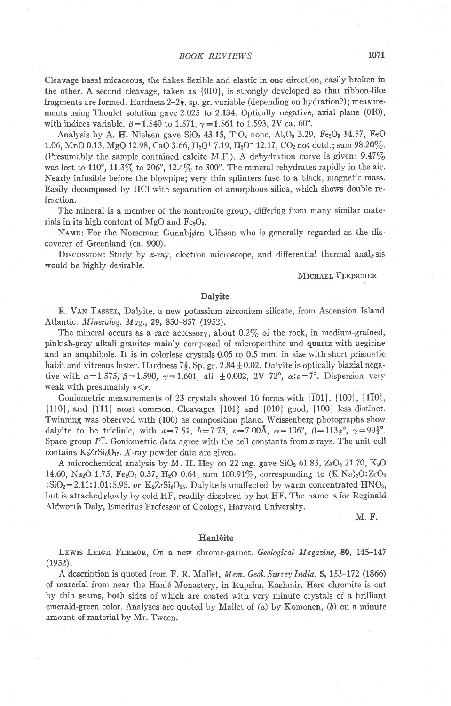## BOOK REVIEWS 1071

Cleavage basal micaceous, the flakes flexible and elastic in one direction, easily broken in the other. A second cleavage, taken as {010}, is strongly developed so that ribbon-Iike fragments are formed. Hardness  $2-2\frac{1}{2}$ , sp. gr. variable (depending on hydration?); measurements using Thoulet solution gave 2.025 to 2.134. Optically negative, axial plane (010), with indices variable,  $\beta = 1.540$  to 1.571,  $\gamma = 1.561$  to 1.593, 2V ca. 60°.

Analysis by A. H. Nielsen gave  $SiO<sub>2</sub>$  43.15, TiO<sub>2</sub> none, Al<sub>2</sub>O<sub>3</sub> 3.29, Fe<sub>2</sub>O<sub>3</sub> 14.57, FeO 1.06, MnO 0.13, MgO 12.98, CaO 3.66, H<sub>2</sub>O<sup>+</sup> 7.19, H<sub>2</sub>O<sup>-</sup> 12.17, CO<sub>2</sub> not detd.; sum 98.20%. (Presumably the sample contained calcite M.F.). A dehydration curve is given;  $9.47\%$ was lost to 110°, 11.3% to 206°, 12.4% to 300°. The mineral rehydrates rapidly in the air. Nearly infusible before the blowpipe; very thin splinters fuse to a black, magnetic mass. Easily decomposed by HCI with separation of amorphous silica, which shows double refraction.

The mineral is a member of the nontronite group, difiering from many similar materials in its high content of MgO and  $Fe<sub>2</sub>O<sub>3</sub>$ .

NAME: For the Norseman Gunnbjørn Ulfsson who is generally regarded as the discoverer of Greenland (ca. 900).

Discussion: Study by x-ray, electron microscope, and differential thermal analysis would be highly desirable.

#### MICHAEL FLEISCHER

## Dalyite

R. VAN TASSEL, Dalyite, a new potassium zirconium silicate, from Ascension Island Atlantic. Mineralog. Mag., 29, 850-857 (1952).

The mineral occurs as a rare accessory, about  $0.2\%$  of the rock, in medium-grained, pinkish-gray alkali granites mainly composed of microperthite and quartz with aegirine and an amphibole. It is in colorless crystals 0.05 to 0.5 mm. in size with short prismatic habit and vitreous luster. Hardness  $7\frac{1}{2}$ . Sp. gr. 2.84  $\pm$  0.02. Dalyite is optically biaxial negative with  $\alpha=1.575$ ,  $\beta=1.590$ ,  $\gamma=1.601$ , all  $\pm 0.002$ , 2V 72°,  $\alpha$ : $c=7$ °. Dispersion very weak with presumably  $v < r$ .

Goniometric measurements of 23 crystals showed 16 forms with {T01}, [100], {1T0}, [110], and {T11} most common. Cleavages {101} and [010] good, {100} less distinct. Twinning was observed wth (100) as composition plane. Weissenberg photographs show dalyite to be triclinic, with  $a=7.51$ ,  $b=7.73$ ,  $c=7.00\text{\AA}$ ,  $\alpha=106^{\circ}$ ,  $\beta=113\frac{1}{2}^{\circ}$ ,  $\gamma=99\frac{1}{2}^{\circ}$ . Space group  $PT$ . Goniometric data agree with the cell constants from  $x$ -rays. The unit cell contains  $K_2ZrSi_6O_{15}$ . X-ray powder data are given.

A microchemical analysis by M. H. Hey on 22 mg. gave  $SiO<sub>2</sub> 61.85$ ,  $ZrO<sub>2</sub> 21.70$ ,  $K<sub>2</sub>O$ 14.60, Na<sub>2</sub>O 1.75, Fe<sub>2</sub>O<sub>3</sub> 0.37, H<sub>2</sub>O 0.64; sum 100.91%, corresponding to  $(K,Na)_{2}O:ZrO_{2}$ :SiO<sub>2</sub>=2.11:1.01:5.95, or K<sub>2</sub>ZrSi<sub>6</sub>O<sub>15</sub>. Dalyite is unaffected by warm concentrated HNO<sub>3</sub>, but is attacked slowly by cold HF, readily dissolved by hot HF. The name is for Reginald Aldworth Daly, Emeritus Professor of Geology, Harvard University.

M. F.

#### Hanl6ite

LEWIS LEIGH FERMOR, On a new chrome-garnet. Geological Magazine, 89, 145-147  $(1952).$ 

A description is quoted from F. R. Mallet, Mem. Geol. Survey India, 5, 153-172 (1866) of material from near the Hanl6 Monastery, in Rupshu, Kashmir. Here chromite is cut by thin seams, both sides of which are coated with very minute crystals of a brilliant emerald-green color. Analyses are quoted by Mallet of  $(a)$  by Komonen,  $(b)$  on a minute amount of material by Mr. Tween.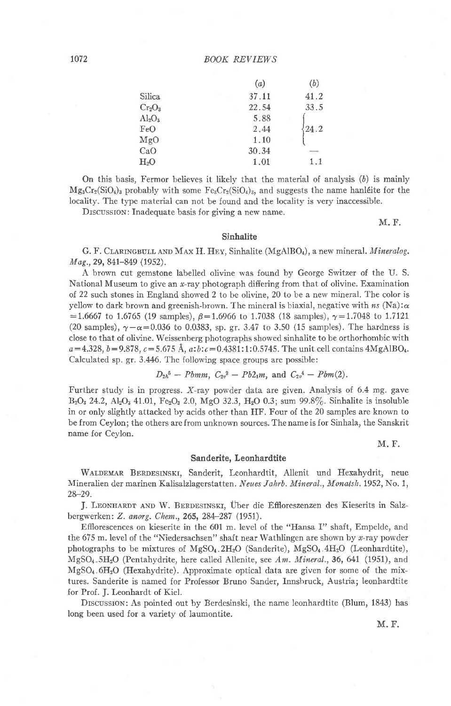## 1072 BOOK REVIEWS

|               | (a)   | (b)  |
|---------------|-------|------|
| Silica        | 37.11 | 41.2 |
| $Cr_2O_3$     | 22.54 | 33.5 |
| $\rm Al_2O_3$ | 5.88  |      |
| FeO           | 2.44  | 24.2 |
| MgO           | 1.10  |      |
| CaO           | 30.34 |      |
| $\rm H_2O$    | 1.01  | 1.1  |
|               |       |      |

On this basis, Fermor believes it likely that the material of analysis (6) is mainly  $Mg_3Cr_2(SiO_4)_3$  probably with some  $Fe_3Cr_2(SiO_4)_3$ , and suggests the name hand eiter the locality. The type material can not be found and the locality is very inaccessible.

Drscussrom: Inadequate basis for giving a new name.

M. F,

#### Sinhalite

G. F. CLARINGBULL AND MAX H. HEY, Sinhalite (MgAlBO4), a new mineral. Mineralog. Mag., 29, 841-849 (1952).

A brown cut gemstone labeiled olivine was found by George Switzer of the U. S. National Museum to give an  $x$ -ray photograph differing from that of olivine. Examination of 22 such stones in England showed 2 to be olivine, 20 to be a new mineral. The color is yellow to dark brown and greenish-brown. The mineral is biaxial, negative with  $ns$  (Na): $\alpha$  $=1.6667$  to 1.6765 (19 samples),  $\beta=1.6966$  to 1.7038 (18 samples),  $\gamma=1.7048$  to 1.7121 (20 samples),  $\gamma-\alpha=0.036$  to 0.0383, sp. gr. 3.47 to 3.50 (15 samples). The hardness is close to that of olivine. Weissenberg photographs showed sinhalite to be orthorhombic with  $a=4.328, b=9.878, c=5.675 \text{ Å}, a:b:c=0.4381:1:0.5745.$  The unit cell contains  $4\text{MgAlBO}_4$ . Calculated sp. gr. 3.446. The following space groups are possible:

$$
D_{2h}^5
$$
 – *Pbmm*,  $C_{2v}^2$  –  $Pb2_1m$ , and  $C_{2v}^4$  –  $Pbm(2)$ .

Further study is in progress. X-ray powder data are given. Analysis of 6.4 mg. gave B<sub>2</sub>O<sub>3</sub> 24.2, Al<sub>2</sub>O<sub>3</sub> 41.01, Fe<sub>2</sub>O<sub>3</sub> 2.0, MgO 32.3, H<sub>2</sub>O 0.3; sum 99.8%. Sinhalite is insoluble in or only slightly attacked by acids other than HF. Four of the 20 samples are known to be from Ceylon; the others are from unknown sources. The name is for Sinhala, the Sanskrit name for Ceylon.

M. F.

#### Sanderite, Leonhardtite

WALDEMAR BERDESINSKI, Sanderit, Leonhardtit, Allenit und Hexahydrit, neue Mineralien der marinen Kalisalzlagerstatten. Neues Jahrb. Mineral., Monatsh. 1952, No. 1, 28-29.

J. LEONHARDT AND W. BERDESINSKI, Über die Effloreszenzen des Kieserits in Salzbergwerken: Z. anorg. Chem., 265, 284-287 (1951).

Effiorescences on kieserite in the 601 m. Ievel of the "I{ansa I" shaft, Empelde, and the 675 m. level of the "Niedersachsen" shaft near Wathlingen are shown by  $x$ -ray powder photographs to be mixtures of  $MgSO<sub>4</sub>$ .2H<sub>2</sub>O (Sanderite),  $MgSO<sub>4</sub>$ .4H<sub>2</sub>O (Leonhardtite),  $MgSO<sub>4</sub>$ ,  $5H<sub>2</sub>O$  (Pentahydrite, here called Allenite, see Am. Mineral., 36, 641 (1951), and MgSOa 6HzO (Hexahydrite). Approximate optical data are given for some of the mixtures. Sanderite is named for Professor Bruno Sander, Innsbruck, Austria; Ieonhardtite for Prof. J. Leonhardt of Kiel.

DISCUSSION: As pointed out by Berdesinski, the name leonhardtite (Blum, 1843) has Iong been used for a variety of laumontite.

M. F.